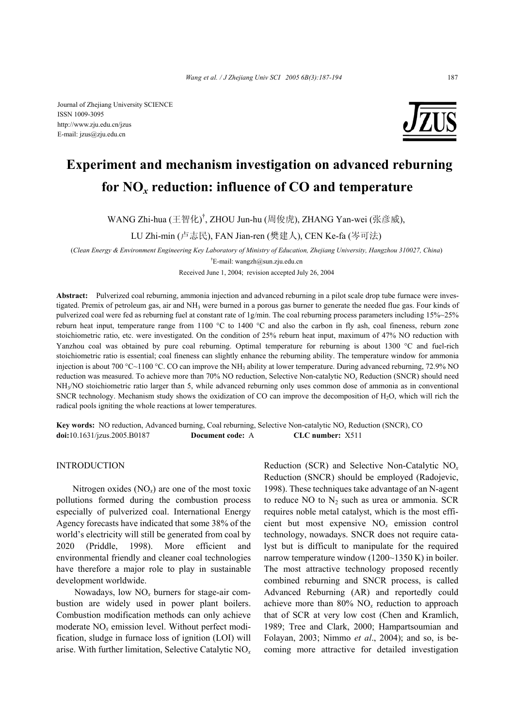Journal of Zhejiang University SCIENCE ISSN 1009-3095 http://www.zju.edu.cn/jzus E-mail: jzus@zju.edu.cn



# **Experiment and mechanism investigation on advanced reburning for NO***x* **reduction: influence of CO and temperature**

WANG Zhi-hua (王智化)<sup>†</sup>, ZHOU Jun-hu (周俊虎), ZHANG Yan-wei (张彦威),

LU Zhi-min (卢志民), FAN Jian-ren (樊建人), CEN Ke-fa (岑可法)

(*Clean Energy & Environment Engineering Key Laboratory of Ministry of Education, Zhejiang University, Hangzhou 310027, China*)

† E-mail: wangzh@sun.zju.edu.cn

Received June 1, 2004; revision accepted July 26, 2004

**Abstract:** Pulverized coal reburning, ammonia injection and advanced reburning in a pilot scale drop tube furnace were investigated. Premix of petroleum gas, air and NH3 were burned in a porous gas burner to generate the needed flue gas. Four kinds of pulverized coal were fed as reburning fuel at constant rate of 1g/min. The coal reburning process parameters including 15%~25% reburn heat input, temperature range from 1100  $^{\circ}$ C to 1400  $^{\circ}$ C and also the carbon in fly ash, coal fineness, reburn zone stoichiometric ratio, etc. were investigated. On the condition of 25% reburn heat input, maximum of 47% NO reduction with Yanzhou coal was obtained by pure coal reburning. Optimal temperature for reburning is about 1300 °C and fuel-rich stoichiometric ratio is essential; coal fineness can slightly enhance the reburning ability. The temperature window for ammonia injection is about 700 °C~1100 °C. CO can improve the NH<sub>3</sub> ability at lower temperature. During advanced reburning, 72.9% NO reduction was measured. To achieve more than 70% NO reduction, Selective Non-catalytic NO*x* Reduction (SNCR) should need NH3/NO stoichiometric ratio larger than 5, while advanced reburning only uses common dose of ammonia as in conventional SNCR technology. Mechanism study shows the oxidization of CO can improve the decomposition of H2O, which will rich the radical pools igniting the whole reactions at lower temperatures.

**Key words:** NO reduction, Advanced burning, Coal reburning, Selective Non-catalytic NO*x* Reduction (SNCR), CO **doi:**10.1631/jzus.2005.B0187 **Document code:** A **CLC number:** X511

INTRODUCTION

Nitrogen oxides (NO*x*) are one of the most toxic pollutions formed during the combustion process especially of pulverized coal. International Energy Agency forecasts have indicated that some 38% of the world's electricity will still be generated from coal by 2020 (Priddle, 1998). More efficient and environmental friendly and cleaner coal technologies have therefore a major role to play in sustainable development worldwide.

Nowadays, low NO*x* burners for stage-air combustion are widely used in power plant boilers. Combustion modification methods can only achieve moderate NO*x* emission level. Without perfect modification, sludge in furnace loss of ignition (LOI) will arise. With further limitation, Selective Catalytic NO*<sup>x</sup>* Reduction (SCR) and Selective Non-Catalytic NO*<sup>x</sup>* Reduction (SNCR) should be employed (Radojevic, 1998). These techniques take advantage of an N-agent to reduce NO to  $N_2$  such as urea or ammonia. SCR requires noble metal catalyst, which is the most efficient but most expensive NO*x* emission control technology, nowadays. SNCR does not require catalyst but is difficult to manipulate for the required narrow temperature window (1200~1350 K) in boiler. The most attractive technology proposed recently combined reburning and SNCR process, is called Advanced Reburning (AR) and reportedly could achieve more than 80% NO*x* reduction to approach that of SCR at very low cost (Chen and Kramlich, 1989; Tree and Clark, 2000; Hampartsoumian and Folayan, 2003; Nimmo *et al*., 2004); and so, is becoming more attractive for detailed investigation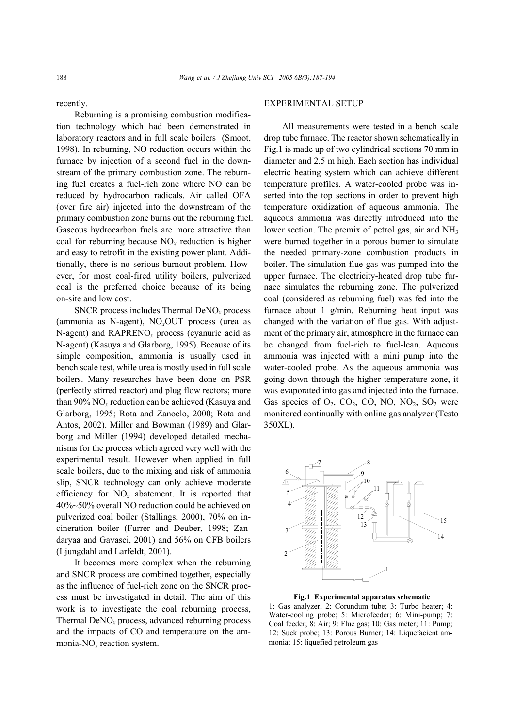recently.

Reburning is a promising combustion modification technology which had been demonstrated in laboratory reactors and in full scale boilers (Smoot, 1998). In reburning, NO reduction occurs within the furnace by injection of a second fuel in the downstream of the primary combustion zone. The reburning fuel creates a fuel-rich zone where NO can be reduced by hydrocarbon radicals. Air called OFA (over fire air) injected into the downstream of the primary combustion zone burns out the reburning fuel. Gaseous hydrocarbon fuels are more attractive than coal for reburning because NO*x* reduction is higher and easy to retrofit in the existing power plant. Additionally, there is no serious burnout problem. However, for most coal-fired utility boilers, pulverized coal is the preferred choice because of its being on-site and low cost.

SNCR process includes Thermal DeNO*<sup>x</sup>* process (ammonia as N-agent), NO*x*OUT process (urea as N-agent) and RAPRENO*x* process (cyanuric acid as N-agent) (Kasuya and Glarborg, 1995). Because of its simple composition, ammonia is usually used in bench scale test, while urea is mostly used in full scale boilers. Many researches have been done on PSR (perfectly stirred reactor) and plug flow rectors; more than  $90\%$  NO<sub>x</sub> reduction can be achieved (Kasuya and Glarborg, 1995; Rota and Zanoelo, 2000; Rota and Antos, 2002). Miller and Bowman (1989) and Glarborg and Miller (1994) developed detailed mechanisms for the process which agreed very well with the experimental result. However when applied in full scale boilers, due to the mixing and risk of ammonia slip, SNCR technology can only achieve moderate efficiency for NO*x* abatement. It is reported that 40%~50% overall NO reduction could be achieved on pulverized coal boiler (Stallings, 2000), 70% on incineration boiler (Furrer and Deuber, 1998; Zandaryaa and Gavasci, 2001) and 56% on CFB boilers (Ljungdahl and Larfeldt, 2001).

It becomes more complex when the reburning and SNCR process are combined together, especially as the influence of fuel-rich zone on the SNCR process must be investigated in detail. The aim of this work is to investigate the coal reburning process, Thermal DeNO*x* process, advanced reburning process and the impacts of CO and temperature on the ammonia-NO*x* reaction system.

#### EXPERIMENTAL SETUP

All measurements were tested in a bench scale drop tube furnace. The reactor shown schematically in Fig.1 is made up of two cylindrical sections 70 mm in diameter and 2.5 m high. Each section has individual electric heating system which can achieve different temperature profiles. A water-cooled probe was inserted into the top sections in order to prevent high temperature oxidization of aqueous ammonia. The aqueous ammonia was directly introduced into the lower section. The premix of petrol gas, air and NH<sub>3</sub> were burned together in a porous burner to simulate the needed primary-zone combustion products in boiler. The simulation flue gas was pumped into the upper furnace. The electricity-heated drop tube furnace simulates the reburning zone. The pulverized coal (considered as reburning fuel) was fed into the furnace about 1 g/min. Reburning heat input was changed with the variation of flue gas. With adjustment of the primary air, atmosphere in the furnace can be changed from fuel-rich to fuel-lean. Aqueous ammonia was injected with a mini pump into the water-cooled probe. As the aqueous ammonia was going down through the higher temperature zone, it was evaporated into gas and injected into the furnace. Gas species of  $O_2$ ,  $CO_2$ ,  $CO_2$ ,  $NO$ ,  $NO_2$ ,  $SO_2$  were monitored continually with online gas analyzer (Testo 350XL).



**Fig.1 Experimental apparatus schematic**

1: Gas analyzer; 2: Corundum tube; 3: Turbo heater; 4: Water-cooling probe; 5: Microfeeder; 6: Mini-pump; 7: Coal feeder; 8: Air; 9: Flue gas; 10: Gas meter; 11: Pump; 12: Suck probe; 13: Porous Burner; 14: Liquefacient ammonia; 15: liquefied petroleum gas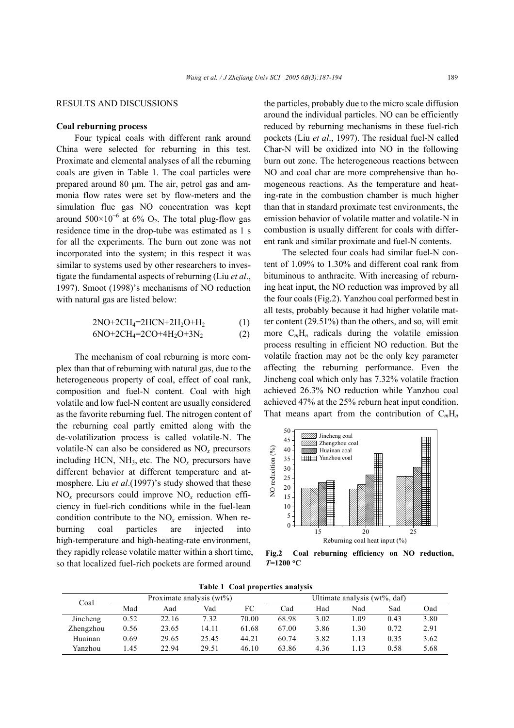#### RESULTS AND DISCUSSIONS

### **Coal reburning process**

Four typical coals with different rank around China were selected for reburning in this test. Proximate and elemental analyses of all the reburning coals are given in Table 1. The coal particles were prepared around 80 µm. The air, petrol gas and ammonia flow rates were set by flow-meters and the simulation flue gas NO concentration was kept around  $500 \times 10^{-6}$  at 6% O<sub>2</sub>. The total plug-flow gas residence time in the drop-tube was estimated as 1 s for all the experiments. The burn out zone was not incorporated into the system; in this respect it was similar to systems used by other researchers to investigate the fundamental aspects of reburning (Liu *et al*., 1997). Smoot (1998)'s mechanisms of NO reduction with natural gas are listed below:

$$
2NO+2CH4=2HCN+2H2O+H2
$$
 (1)

$$
6NO+2CH_4=2CO+4H_2O+3N_2\tag{2}
$$

The mechanism of coal reburning is more complex than that of reburning with natural gas, due to the heterogeneous property of coal, effect of coal rank, composition and fuel-N content. Coal with high volatile and low fuel-N content are usually considered as the favorite reburning fuel. The nitrogen content of the reburning coal partly emitted along with the de-volatilization process is called volatile-N. The volatile-N can also be considered as NO*<sup>x</sup>* precursors including HCN,  $NH_3$ , etc. The  $NO<sub>r</sub>$  precursors have different behavior at different temperature and atmosphere. Liu *et al.*(1997)'s study showed that these NO*x* precursors could improve NO*x* reduction efficiency in fuel-rich conditions while in the fuel-lean condition contribute to the NO*x* emission. When reburning coal particles are injected into high-temperature and high-heating-rate environment, they rapidly release volatile matter within a short time, so that localized fuel-rich pockets are formed around

the particles, probably due to the micro scale diffusion around the individual particles. NO can be efficiently reduced by reburning mechanisms in these fuel-rich pockets (Liu *et al*., 1997). The residual fuel-N called Char-N will be oxidized into NO in the following burn out zone. The heterogeneous reactions between NO and coal char are more comprehensive than homogeneous reactions. As the temperature and heating-rate in the combustion chamber is much higher than that in standard proximate test environments, the emission behavior of volatile matter and volatile-N in combustion is usually different for coals with different rank and similar proximate and fuel-N contents.

The selected four coals had similar fuel-N content of 1.09% to 1.30% and different coal rank from bituminous to anthracite. With increasing of reburning heat input, the NO reduction was improved by all the four coals (Fig.2). Yanzhou coal performed best in all tests, probably because it had higher volatile matter content (29.51%) than the others, and so, will emit more  $C_mH_n$  radicals during the volatile emission process resulting in efficient NO reduction. But the volatile fraction may not be the only key parameter affecting the reburning performance. Even the Jincheng coal which only has 7.32% volatile fraction achieved 26.3% NO reduction while Yanzhou coal achieved 47% at the 25% reburn heat input condition. That means apart from the contribution of  $C_mH_n$ 



**Fig.2 Coal reburning efficiency on NO reduction,**  *T***=1200** °**C**

**Table 1 Coal properties analysis** 

| Coal      |      | Proximate analysis $(wt\%)$ | Ultimate analysis (wt%, daf) |       |       |      |     |      |      |
|-----------|------|-----------------------------|------------------------------|-------|-------|------|-----|------|------|
|           | Mad  | Aad                         | Vad                          | FC    | Cad   | Had  | Nad | Sad  | Oad  |
| Jincheng  | 0.52 | 22.16                       | 7.32                         | 70.00 | 68.98 | 3.02 | .09 | 0.43 | 3.80 |
| Zhengzhou | 0.56 | 23.65                       | 14.11                        | 61.68 | 67.00 | 3.86 | .30 | 0.72 | 2.91 |
| Huainan   | 0.69 | 29.65                       | 25.45                        | 44.21 | 60.74 | 3.82 | .13 | 0.35 | 3.62 |
| Yanzhou   | l 45 | 22.94                       | 29.51                        | 46.10 | 63.86 | 4.36 | .13 | 0.58 | 5.68 |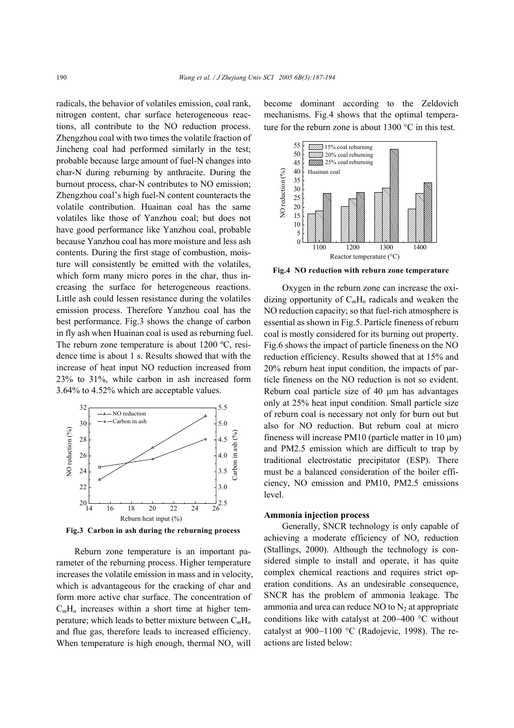radicals, the behavior of volatiles emission, coal rank, nitrogen content, char surface heterogeneous reactions, all contribute to the NO reduction process. Zhengzhou coal with two times the volatile fraction of Jincheng coal had performed similarly in the test; probable because large amount of fuel-N changes into char-N during reburning by anthracite. During the burnout process, char-N contributes to NO emission; Zhengzhou coal's high fuel-N content counteracts the volatile contribution. Huainan coal has the same volatiles like those of Yanzhou coal; but does not have good performance like Yanzhou coal, probable because Yanzhou coal has more moisture and less ash contents. During the first stage of combustion, moisture will consistently be emitted with the volatiles, which form many micro pores in the char, thus increasing the surface for heterogeneous reactions. Little ash could lessen resistance during the volatiles emission process. Therefore Yanzhou coal has the best performance. Fig.3 shows the change of carbon in fly ash when Huainan coal is used as reburning fuel. The reburn zone temperature is about 1200 °C, residence time is about 1 s. Results showed that with the increase of heat input NO reduction increased from 23% to 31%, while carbon in ash increased form 3.64% to 4.52% which are acceptable values.



**Fig.3 Carbon in ash during the reburning process**

Reburn zone temperature is an important parameter of the reburning process. Higher temperature increases the volatile emission in mass and in velocity, which is advantageous for the cracking of char and form more active char surface. The concentration of  $C<sub>m</sub>H<sub>n</sub>$  increases within a short time at higher temperature; which leads to better mixture between C*m*H*<sup>n</sup>* and flue gas, therefore leads to increased efficiency. When temperature is high enough, thermal  $NO<sub>x</sub>$  will

become dominant according to the Zeldovich mechanisms. Fig.4 shows that the optimal temperature for the reburn zone is about 1300 °C in this test.



**Fig.4 NO reduction with reburn zone temperature**

Oxygen in the reburn zone can increase the oxidizing opportunity of C*m*H*n* radicals and weaken the NO reduction capacity; so that fuel-rich atmosphere is essential as shown in Fig.5. Particle fineness of reburn coal is mostly considered for its burning out property. Fig.6 shows the impact of particle fineness on the NO reduction efficiency. Results showed that at 15% and 20% reburn heat input condition, the impacts of particle fineness on the NO reduction is not so evident. Reburn coal particle size of 40 μm has advantages only at 25% heat input condition. Small particle size of reburn coal is necessary not only for burn out but also for NO reduction. But reburn coal at micro fineness will increase PM10 (particle matter in  $10 \mu m$ ) and PM2.5 emission which are difficult to trap by traditional electrostatic precipitator (ESP). There must be a balanced consideration of the boiler efficiency, NO emission and PM10, PM2.5 emissions level.

## **Ammonia injection process**

Generally, SNCR technology is only capable of achieving a moderate efficiency of  $NO<sub>x</sub>$  reduction (Stallings, 2000). Although the technology is considered simple to install and operate, it has quite complex chemical reactions and requires strict operation conditions. As an undesirable consequence, SNCR has the problem of ammonia leakage. The ammonia and urea can reduce NO to  $N_2$  at appropriate conditions like with catalyst at 200−400 °C without catalyst at 900−1100 °C (Radojevic, 1998). The reactions are listed below: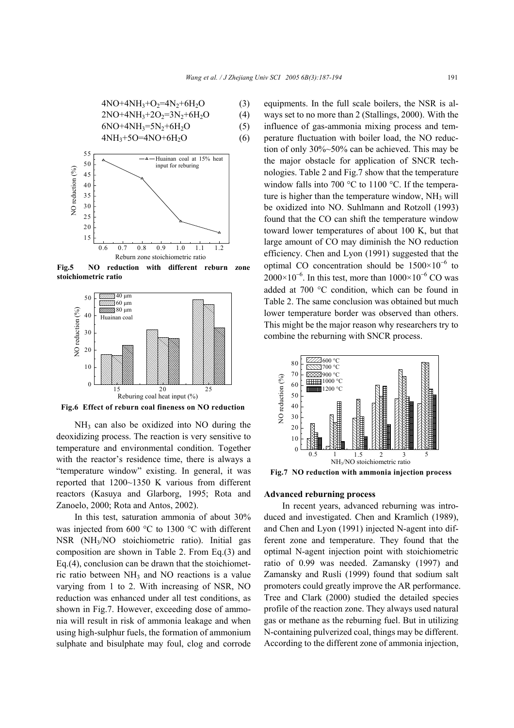$$
4NO+4NH3+O2=4N2+6H2O
$$
\n
$$
2NO+4NH3+2O2=3N2+6H2O
$$
\n(3)\n(4)

$$
6NO+4NH_3=5N_2+6H_2O
$$
 (5)

$$
4NH_3 + 5O = 4NO + 6H_2O
$$
 (6)



**Fig.5 NO reduction with different reburn zone stoichiometric ratio**



**Fig.6 Effect of reburn coal fineness on NO reduction**

NH3 can also be oxidized into NO during the deoxidizing process. The reaction is very sensitive to temperature and environmental condition. Together with the reactor's residence time, there is always a "temperature window" existing. In general, it was reported that 1200~1350 K various from different reactors (Kasuya and Glarborg, 1995; Rota and Zanoelo, 2000; Rota and Antos, 2002).

In this test, saturation ammonia of about 30% was injected from 600 °C to 1300 °C with different NSR (NH3/NO stoichiometric ratio). Initial gas composition are shown in Table 2. From Eq.(3) and Eq.(4), conclusion can be drawn that the stoichiometric ratio between  $NH<sub>3</sub>$  and NO reactions is a value varying from 1 to 2. With increasing of NSR, NO reduction was enhanced under all test conditions, as shown in Fig.7. However, exceeding dose of ammonia will result in risk of ammonia leakage and when using high-sulphur fuels, the formation of ammonium sulphate and bisulphate may foul, clog and corrode equipments. In the full scale boilers, the NSR is always set to no more than 2 (Stallings, 2000). With the influence of gas-ammonia mixing process and temperature fluctuation with boiler load, the NO reduction of only 30%~50% can be achieved. This may be the major obstacle for application of SNCR technologies. Table 2 and Fig.7 show that the temperature window falls into 700 °C to 1100 °C. If the temperature is higher than the temperature window,  $NH<sub>3</sub>$  will be oxidized into NO. Suhlmann and Rotzoll (1993) found that the CO can shift the temperature window toward lower temperatures of about 100 K, but that large amount of CO may diminish the NO reduction efficiency. Chen and Lyon (1991) suggested that the optimal CO concentration should be  $1500\times10^{-6}$  to  $2000\times10^{-6}$ . In this test, more than  $1000\times10^{-6}$  CO was added at 700 °C condition, which can be found in Table 2. The same conclusion was obtained but much lower temperature border was observed than others. This might be the major reason why researchers try to combine the reburning with SNCR process.



**Fig.7 NO reduction with ammonia injection process**

#### **Advanced reburning process**

In recent years, advanced reburning was introduced and investigated. Chen and Kramlich (1989), and Chen and Lyon (1991) injected N-agent into different zone and temperature. They found that the optimal N-agent injection point with stoichiometric ratio of 0.99 was needed. Zamansky (1997) and Zamansky and Rusli (1999) found that sodium salt promoters could greatly improve the AR performance. Tree and Clark (2000) studied the detailed species profile of the reaction zone. They always used natural gas or methane as the reburning fuel. But in utilizing N-containing pulverized coal, things may be different. According to the different zone of ammonia injection,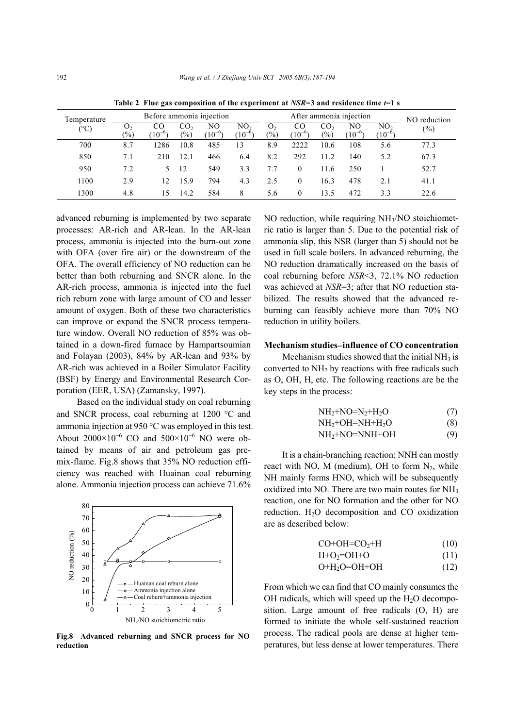| Temperature<br>$(^\circ C)$ | Before ammonia injection          |                   |                                    |                   |                                |                         | After ammonia injection | NO reduction                     |                   |                                |        |
|-----------------------------|-----------------------------------|-------------------|------------------------------------|-------------------|--------------------------------|-------------------------|-------------------------|----------------------------------|-------------------|--------------------------------|--------|
|                             | O <sub>2</sub><br>$\frac{(0)}{0}$ | CO<br>$(10^{-6})$ | CO <sub>2</sub><br>$\frac{(0)}{0}$ | NO.<br>$(10^{-6}$ | NO <sub>2</sub><br>$(10^{-6})$ | O <sub>2</sub><br>(0/0) | CO<br>$(10^{-6}$        | CO <sub>2</sub><br>$\frac{6}{2}$ | NΟ<br>$(10^{-6})$ | NO <sub>2</sub><br>$(10^{-6})$ | $(\%)$ |
| 700                         | 8.7                               | 1286              | 10.8                               | 485               | 13                             | 8.9                     | 2222                    | 10.6                             | 108               | 5.6                            | 77.3   |
| 850                         | 7.1                               | 210               | 12.1                               | 466               | 6.4                            | 8.2                     | 292                     | 11.2                             | 140               | 5.2                            | 67.3   |
| 950                         | 7.2                               | $\mathcal{D}$     | 12                                 | 549               | 3.3                            | 7.7                     | $\theta$                | 11.6                             | 250               |                                | 52.7   |
| 1100                        | 2.9                               | 12.               | 15.9                               | 794               | 4.3                            | 2.5                     | $\theta$                | 16.3                             | 478               | 2.1                            | 41.1   |
| 1300                        | 4.8                               | 15                | 14.2                               | 584               | 8                              | 5.6                     | $\theta$                | 13.5                             | 472               | 3.3                            | 22.6   |

**Table 2 Flue gas composition of the experiment at** *NSR***=3 and residence time** *t***=1 s** 

advanced reburning is implemented by two separate processes: AR-rich and AR-lean. In the AR-lean process, ammonia is injected into the burn-out zone with OFA (over fire air) or the downstream of the OFA. The overall efficiency of NO reduction can be better than both reburning and SNCR alone. In the AR-rich process, ammonia is injected into the fuel rich reburn zone with large amount of CO and lesser amount of oxygen. Both of these two characteristics can improve or expand the SNCR process temperature window. Overall NO reduction of 85% was obtained in a down-fired furnace by Hampartsoumian and Folayan (2003), 84% by AR-lean and 93% by AR-rich was achieved in a Boiler Simulator Facility (BSF) by Energy and Environmental Research Corporation (EER, USA) (Zamansky, 1997).

 Based on the individual study on coal reburning and SNCR process, coal reburning at 1200 °C and ammonia injection at 950 °C was employed in this test. About  $2000\times10^{-6}$  CO and  $500\times10^{-6}$  NO were obtained by means of air and petroleum gas premix-flame. Fig.8 shows that 35% NO reduction efficiency was reached with Huainan coal reburning alone. Ammonia injection process can achieve 71.6%



**Fig.8 Advanced reburning and SNCR process for NO reduction** 

NO reduction, while requiring NH<sub>3</sub>/NO stoichiometric ratio is larger than 5. Due to the potential risk of ammonia slip, this NSR (larger than 5) should not be used in full scale boilers. In advanced reburning, the NO reduction dramatically increased on the basis of coal reburning before *NSR*<3, 72.1% NO reduction was achieved at *NSR*=3; after that NO reduction stabilized. The results showed that the advanced reburning can feasibly achieve more than 70% NO reduction in utility boilers.

## **Mechanism studies**−**influence of CO concentration**

Mechanism studies showed that the initial  $NH<sub>3</sub>$  is converted to  $NH<sub>2</sub>$  by reactions with free radicals such as O, OH, H, etc. The following reactions are be the key steps in the process:

$$
NH2+NO=N2+H2O
$$
 (7)  
\n
$$
NH + OH-NH+H O
$$
 (8)

$$
11112^{\dagger}\text{O11}^{\dagger}\text{O11}^{\dagger}\text{111}^{\dagger}\text{12}^{\dagger}\text{O} \tag{8}
$$

 $NH<sub>2</sub>+NO=NNH+OH$  (9)

It is a chain-branching reaction; NNH can mostly react with NO, M (medium), OH to form  $N_2$ , while NH mainly forms HNO, which will be subsequently oxidized into NO. There are two main routes for NH3 reaction, one for NO formation and the other for NO reduction.  $H_2O$  decomposition and CO oxidization are as described below:

$$
CO+OH=CO_2+H
$$
 (10)

$$
H + O_2 = OH + O \tag{11}
$$

$$
O+H_2O=OH+OH
$$
 (12)

From which we can find that CO mainly consumes the OH radicals, which will speed up the  $H_2O$  decomposition. Large amount of free radicals (O, H) are formed to initiate the whole self-sustained reaction process. The radical pools are dense at higher temperatures, but less dense at lower temperatures. There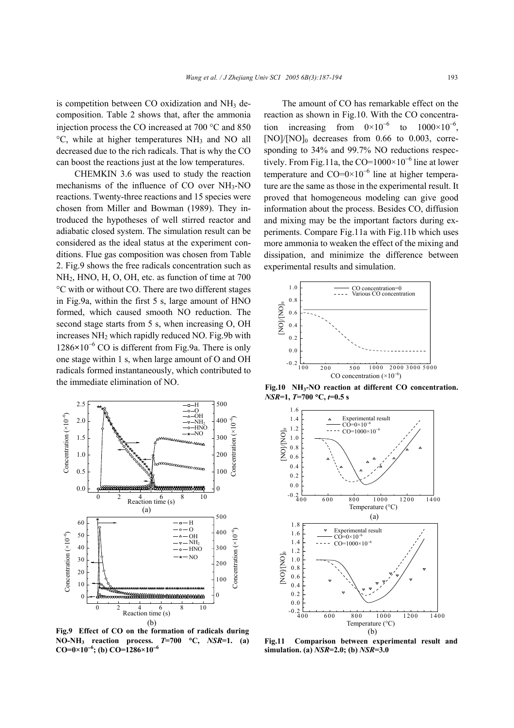is competition between  $CO$  oxidization and  $NH<sub>3</sub>$  decomposition. Table 2 shows that, after the ammonia injection process the CO increased at 700 °C and 850 °C, while at higher temperatures NH3 and NO all decreased due to the rich radicals. That is why the CO can boost the reactions just at the low temperatures.

CHEMKIN 3.6 was used to study the reaction mechanisms of the influence of CO over NH3-NO reactions. Twenty-three reactions and 15 species were chosen from Miller and Bowman (1989). They introduced the hypotheses of well stirred reactor and adiabatic closed system. The simulation result can be considered as the ideal status at the experiment conditions. Flue gas composition was chosen from Table 2. Fig.9 shows the free radicals concentration such as NH2, HNO, H, O, OH, etc. as function of time at 700 °C with or without CO. There are two different stages in Fig.9a, within the first 5 s, large amount of HNO formed, which caused smooth NO reduction. The second stage starts from 5 s, when increasing O, OH increases NH2 which rapidly reduced NO. Fig.9b with 1286**×**10<sup>−</sup><sup>6</sup> CO is different from Fig.9a. There is only one stage within 1 s, when large amount of O and OH radicals formed instantaneously, which contributed to the immediate elimination of NO.



**Fig.9 Effect of CO on the formation of radicals during NO-NH3 reaction process.** *T***=700** °**C,** *NSR***=1. (a) CO=0×10**<sup>−</sup>**<sup>6</sup> ; (b) CO=1286×10**<sup>−</sup>**<sup>6</sup>**

The amount of CO has remarkable effect on the reaction as shown in Fig.10. With the CO concentration increasing from  $0 \times 10^{-6}$  to  $1000 \times 10^{-6}$ ,  $[NO]/[NO]_0$  decreases from 0.66 to 0.003, corresponding to 34% and 99.7% NO reductions respectively. From Fig.11a, the CO= $1000 \times 10^{-6}$  line at lower temperature and  $CO=0\times10^{-6}$  line at higher temperature are the same as those in the experimental result. It proved that homogeneous modeling can give good information about the process. Besides CO, diffusion and mixing may be the important factors during experiments. Compare Fig.11a with Fig.11b which uses more ammonia to weaken the effect of the mixing and dissipation, and minimize the difference between experimental results and simulation.



**Fig.10 NH3-NO reaction at different CO concentration.** *NSR***=1,** *T***=700** °**C,** *t***=0.5 s**



**Fig.11 Comparison between experimental result and simulation. (a)** *NSR***=2.0; (b)** *NSR***=3.0**